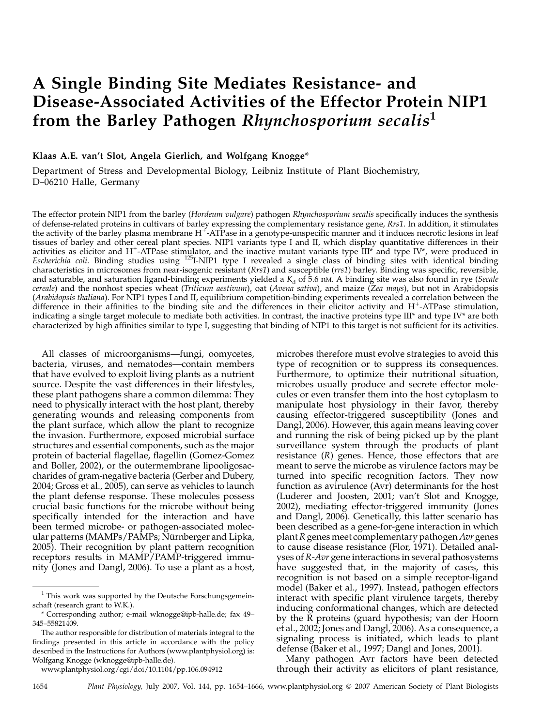# A Single Binding Site Mediates Resistance- and Disease-Associated Activities of the Effector Protein NIP1 from the Barley Pathogen Rhynchosporium secalis<sup>1</sup>

## Klaas A.E. van't Slot, Angela Gierlich, and Wolfgang Knogge\*

Department of Stress and Developmental Biology, Leibniz Institute of Plant Biochemistry, D–06210 Halle, Germany

The effector protein NIP1 from the barley (Hordeum vulgare) pathogen Rhynchosporium secalis specifically induces the synthesis of defense-related proteins in cultivars of barley expressing the complementary resistance gene, Rrs1. In addition, it stimulates the activity of the barley plasma membrane  $H^{\pm}$ -ATPase in a genotype-unspecific manner and it induces necrotic lesions in leaf tissues of barley and other cereal plant species. NIP1 variants type I and II, which display quantitative differences in their activities as elicitor and H<sup>+</sup>-ATPase stimulator, and the inactive mutant variants type  $III^*$  and type IV\*, were produced in Escherichia coli. Binding studies using <sup>125</sup>I-NIP1 type I revealed a single class of binding sites with identical binding characteristics in microsomes from near-isogenic resistant (Rrs1) and susceptible (rrs1) barley. Binding was specific, reversible, and saturable, and saturation ligand-binding experiments yielded a  $K_d$  of 5.6 nm. A binding site was also found in rye (Secale cereale) and the nonhost species wheat (Triticum aestivum), oat (Avena sativa), and maize (Zea mays), but not in Arabidopsis (Arabidopsis thaliana). For NIP1 types I and II, equilibrium competition-binding experiments revealed a correlation between the difference in their affinities to the binding site and the differences in their elicitor activity and  $H<sup>+</sup>-ATP$ ase stimulation, indicating a single target molecule to mediate both activities. In contrast, the inactive proteins type III\* and type IV\* are both characterized by high affinities similar to type I, suggesting that binding of NIP1 to this target is not sufficient for its activities.

All classes of microorganisms—fungi, oomycetes, bacteria, viruses, and nematodes—contain members that have evolved to exploit living plants as a nutrient source. Despite the vast differences in their lifestyles, these plant pathogens share a common dilemma: They need to physically interact with the host plant, thereby generating wounds and releasing components from the plant surface, which allow the plant to recognize the invasion. Furthermore, exposed microbial surface structures and essential components, such as the major protein of bacterial flagellae, flagellin (Gomez-Gomez and Boller, 2002), or the outermembrane lipooligosaccharides of gram-negative bacteria (Gerber and Dubery, 2004; Gross et al., 2005), can serve as vehicles to launch the plant defense response. These molecules possess crucial basic functions for the microbe without being specifically intended for the interaction and have been termed microbe- or pathogen-associated molecular patterns (MAMPs/PAMPs; Nürnberger and Lipka, 2005). Their recognition by plant pattern recognition receptors results in MAMP/PAMP-triggered immunity (Jones and Dangl, 2006). To use a plant as a host,

www.plantphysiol.org/cgi/doi/10.1104/pp.106.094912

microbes therefore must evolve strategies to avoid this type of recognition or to suppress its consequences. Furthermore, to optimize their nutritional situation, microbes usually produce and secrete effector molecules or even transfer them into the host cytoplasm to manipulate host physiology in their favor, thereby causing effector-triggered susceptibility (Jones and Dangl, 2006). However, this again means leaving cover and running the risk of being picked up by the plant surveillance system through the products of plant resistance (R) genes. Hence, those effectors that are meant to serve the microbe as virulence factors may be turned into specific recognition factors. They now function as avirulence (Avr) determinants for the host (Luderer and Joosten, 2001; van't Slot and Knogge, 2002), mediating effector-triggered immunity (Jones and Dangl, 2006). Genetically, this latter scenario has been described as a gene-for-gene interaction in which plant R genes meet complementary pathogen Avr genes to cause disease resistance (Flor, 1971). Detailed analyses of R-Avr gene interactions in several pathosystems have suggested that, in the majority of cases, this recognition is not based on a simple receptor-ligand model (Baker et al., 1997). Instead, pathogen effectors interact with specific plant virulence targets, thereby inducing conformational changes, which are detected by the R proteins (guard hypothesis; van der Hoorn et al., 2002; Jones and Dangl, 2006). As a consequence, a signaling process is initiated, which leads to plant defense (Baker et al., 1997; Dangl and Jones, 2001).

Many pathogen Avr factors have been detected through their activity as elicitors of plant resistance,

1654 Plant Physiology, July 2007, Vol. 144, pp. 1654–1666, www.plantphysiol.org - 2007 American Society of Plant Biologists

 $1$  This work was supported by the Deutsche Forschungsgemeinschaft (research grant to W.K.).

<sup>\*</sup> Corresponding author; e-mail wknogge@ipb-halle.de; fax 49– 345–55821409.

The author responsible for distribution of materials integral to the findings presented in this article in accordance with the policy described in the Instructions for Authors (www.plantphysiol.org) is: Wolfgang Knogge (wknogge@ipb-halle.de).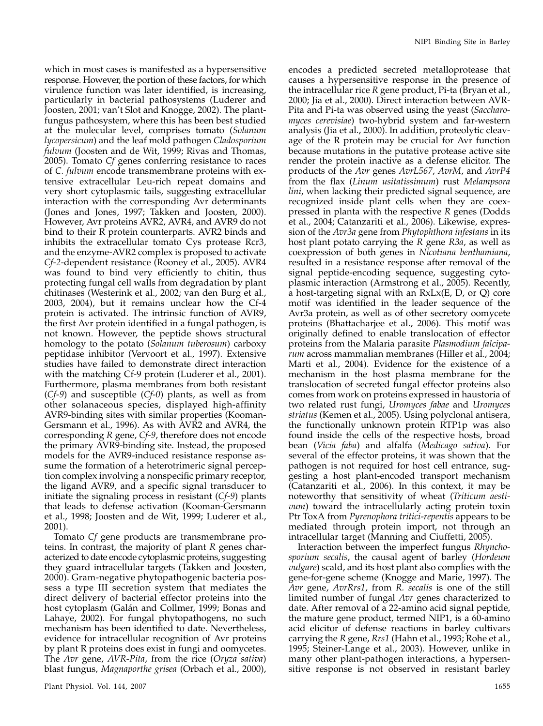which in most cases is manifested as a hypersensitive response. However, the portion of these factors, for which virulence function was later identified, is increasing, particularly in bacterial pathosystems (Luderer and Joosten, 2001; van't Slot and Knogge, 2002). The plantfungus pathosystem, where this has been best studied at the molecular level, comprises tomato (Solanum lycopersicum) and the leaf mold pathogen Cladosporium fulvum (Joosten and de Wit, 1999; Rivas and Thomas, 2005). Tomato Cf genes conferring resistance to races of C. fulvum encode transmembrane proteins with extensive extracellular Leu-rich repeat domains and very short cytoplasmic tails, suggesting extracellular interaction with the corresponding Avr determinants (Jones and Jones, 1997; Takken and Joosten, 2000). However, Avr proteins AVR2, AVR4, and AVR9 do not bind to their R protein counterparts. AVR2 binds and inhibits the extracellular tomato Cys protease Rcr3, and the enzyme-AVR2 complex is proposed to activate Cf-2-dependent resistance (Rooney et al., 2005). AVR4 was found to bind very efficiently to chitin, thus protecting fungal cell walls from degradation by plant chitinases (Westerink et al., 2002; van den Burg et al., 2003, 2004), but it remains unclear how the Cf-4 protein is activated. The intrinsic function of AVR9, the first Avr protein identified in a fungal pathogen, is not known. However, the peptide shows structural homology to the potato (Solanum tuberosum) carboxy peptidase inhibitor (Vervoort et al., 1997). Extensive studies have failed to demonstrate direct interaction with the matching Cf-9 protein (Luderer et al., 2001). Furthermore, plasma membranes from both resistant  $(Cf-9)$  and susceptible  $(Cf-0)$  plants, as well as from other solanaceous species, displayed high-affinity AVR9-binding sites with similar properties (Kooman-Gersmann et al., 1996). As with AVR2 and AVR4, the corresponding R gene, Cf-9, therefore does not encode the primary AVR9-binding site. Instead, the proposed models for the AVR9-induced resistance response assume the formation of a heterotrimeric signal perception complex involving a nonspecific primary receptor, the ligand AVR9, and a specific signal transducer to initiate the signaling process in resistant  $(Cf-9)$  plants that leads to defense activation (Kooman-Gersmann et al., 1998; Joosten and de Wit, 1999; Luderer et al., 2001).

Tomato Cf gene products are transmembrane proteins. In contrast, the majority of plant R genes characterized to date encode cytoplasmic proteins, suggesting they guard intracellular targets (Takken and Joosten, 2000). Gram-negative phytopathogenic bacteria possess a type III secretion system that mediates the direct delivery of bacterial effector proteins into the host cytoplasm (Galán and Collmer, 1999; Bonas and Lahaye, 2002). For fungal phytopathogens, no such mechanism has been identified to date. Nevertheless, evidence for intracellular recognition of Avr proteins by plant R proteins does exist in fungi and oomycetes. The Avr gene, AVR-Pita, from the rice (Oryza sativa) blast fungus, Magnaporthe grisea (Orbach et al., 2000),

encodes a predicted secreted metalloprotease that causes a hypersensitive response in the presence of the intracellular rice R gene product, Pi-ta (Bryan et al., 2000; Jia et al., 2000). Direct interaction between AVR-Pita and Pi-ta was observed using the yeast (Saccharomyces cerevisiae) two-hybrid system and far-western analysis (Jia et al., 2000). In addition, proteolytic cleavage of the R protein may be crucial for Avr function because mutations in the putative protease active site render the protein inactive as a defense elicitor. The products of the Avr genes AvrL567, AvrM, and AvrP4 from the flax (Linum usitatissimum) rust Melampsora lini, when lacking their predicted signal sequence, are recognized inside plant cells when they are coexpressed in planta with the respective R genes (Dodds et al., 2004; Catanzariti et al., 2006). Likewise, expression of the Avr3a gene from Phytophthora infestans in its host plant potato carrying the R gene R3a, as well as coexpression of both genes in Nicotiana benthamiana, resulted in a resistance response after removal of the signal peptide-encoding sequence, suggesting cytoplasmic interaction (Armstrong et al., 2005). Recently, a host-targeting signal with an RxLx(E, D, or Q) core motif was identified in the leader sequence of the Avr3a protein, as well as of other secretory oomycete proteins (Bhattacharjee et al., 2006). This motif was originally defined to enable translocation of effector proteins from the Malaria parasite Plasmodium falciparum across mammalian membranes (Hiller et al., 2004; Marti et al., 2004). Evidence for the existence of a mechanism in the host plasma membrane for the translocation of secreted fungal effector proteins also comes from work on proteins expressed in haustoria of two related rust fungi, Uromyces fabae and Uromyces striatus (Kemen et al., 2005). Using polyclonal antisera, the functionally unknown protein RTP1p was also found inside the cells of the respective hosts, broad bean (Vicia faba) and alfalfa (Medicago sativa). For several of the effector proteins, it was shown that the pathogen is not required for host cell entrance, suggesting a host plant-encoded transport mechanism (Catanzariti et al., 2006). In this context, it may be noteworthy that sensitivity of wheat (Triticum aesti*vum*) toward the intracellularly acting protein toxin Ptr ToxA from Pyrenophora tritici-repentis appears to be mediated through protein import, not through an intracellular target (Manning and Ciuffetti, 2005).

Interaction between the imperfect fungus Rhynchosporium secalis, the causal agent of barley (Hordeum vulgare) scald, and its host plant also complies with the gene-for-gene scheme (Knogge and Marie, 1997). The Avr gene, AvrRrs1, from R. secalis is one of the still limited number of fungal Avr genes characterized to date. After removal of a 22-amino acid signal peptide, the mature gene product, termed NIP1, is a 60-amino acid elicitor of defense reactions in barley cultivars carrying the R gene, Rrs1 (Hahn et al., 1993; Rohe et al., 1995; Steiner-Lange et al., 2003). However, unlike in many other plant-pathogen interactions, a hypersensitive response is not observed in resistant barley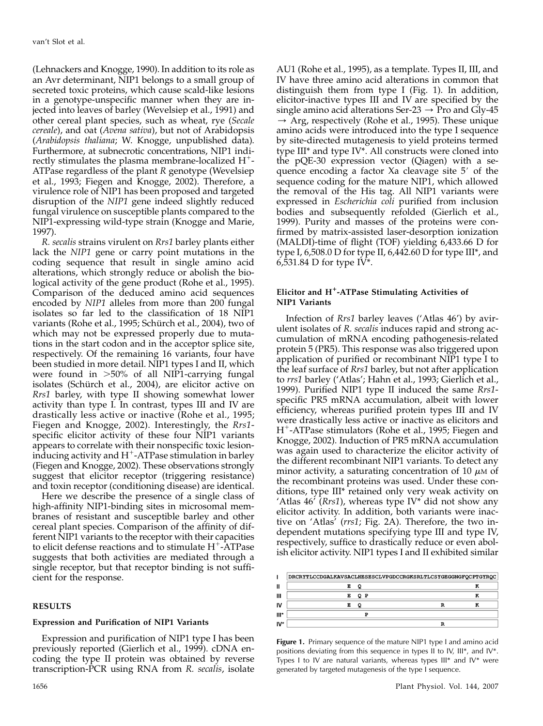(Lehnackers and Knogge, 1990). In addition to its role as an Avr determinant, NIP1 belongs to a small group of secreted toxic proteins, which cause scald-like lesions in a genotype-unspecific manner when they are injected into leaves of barley (Wevelsiep et al., 1991) and other cereal plant species, such as wheat, rye (Secale cereale), and oat (Avena sativa), but not of Arabidopsis (Arabidopsis thaliana; W. Knogge, unpublished data). Furthermore, at subnecrotic concentrations, NIP1 indirectly stimulates the plasma membrane-localized  $H^+$ -ATPase regardless of the plant R genotype (Wevelsiep et al., 1993; Fiegen and Knogge, 2002). Therefore, a virulence role of NIP1 has been proposed and targeted disruption of the NIP1 gene indeed slightly reduced fungal virulence on susceptible plants compared to the NIP1-expressing wild-type strain (Knogge and Marie, 1997).

R. secalis strains virulent on Rrs1 barley plants either lack the NIP1 gene or carry point mutations in the coding sequence that result in single amino acid alterations, which strongly reduce or abolish the biological activity of the gene product (Rohe et al., 1995). Comparison of the deduced amino acid sequences encoded by NIP1 alleles from more than 200 fungal isolates so far led to the classification of 18 NIP1 variants (Rohe et al., 1995; Schürch et al., 2004), two of which may not be expressed properly due to mutations in the start codon and in the acceptor splice site, respectively. Of the remaining 16 variants, four have been studied in more detail. NIP1 types I and II, which were found in  $>50\%$  of all NIP1-carrying fungal isolates (Schürch et al., 2004), are elicitor active on Rrs1 barley, with type II showing somewhat lower activity than type I. In contrast, types III and IV are drastically less active or inactive (Rohe et al., 1995; Fiegen and Knogge, 2002). Interestingly, the Rrs1 specific elicitor activity of these four NIP1 variants appears to correlate with their nonspecific toxic lesioninducing activity and  $H^+$ -ATPase stimulation in barley (Fiegen and Knogge, 2002). These observations strongly suggest that elicitor receptor (triggering resistance) and toxin receptor (conditioning disease) are identical.

Here we describe the presence of a single class of high-affinity NIP1-binding sites in microsomal membranes of resistant and susceptible barley and other cereal plant species. Comparison of the affinity of different NIP1 variants to the receptor with their capacities to elicit defense reactions and to stimulate  $H^+$ -ATPase suggests that both activities are mediated through a single receptor, but that receptor binding is not sufficient for the response.

#### RESULTS

#### Expression and Purification of NIP1 Variants

Expression and purification of NIP1 type I has been previously reported (Gierlich et al., 1999). cDNA encoding the type II protein was obtained by reverse transcription-PCR using RNA from R. secalis, isolate

AU1 (Rohe et al., 1995), as a template. Types II, III, and IV have three amino acid alterations in common that distinguish them from type I (Fig. 1). In addition, elicitor-inactive types III and IV are specified by the single amino acid alterations Ser-23  $\rightarrow$  Pro and Gly-45  $\rightarrow$  Arg, respectively (Rohe et al., 1995). These unique amino acids were introduced into the type I sequence by site-directed mutagenesis to yield proteins termed type III\* and type IV\*. All constructs were cloned into the pQE-30 expression vector (Qiagen) with a sequence encoding a factor Xa cleavage site 5' of the sequence coding for the mature NIP1, which allowed the removal of the His tag. All NIP1 variants were expressed in Escherichia coli purified from inclusion bodies and subsequently refolded (Gierlich et al., 1999). Purity and masses of the proteins were confirmed by matrix-assisted laser-desorption ionization (MALDI)-time of flight (TOF) yielding 6,433.66 D for type I, 6,508.0 D for type II, 6,442.60 D for type III\*, and 6,531.84 D for type IV\*.

## Elicitor and  $H^+$ -ATPase Stimulating Activities of NIP1 Variants

Infection of Rrs1 barley leaves ('Atlas 46') by avirulent isolates of R. secalis induces rapid and strong accumulation of mRNA encoding pathogenesis-related protein 5 (PR5). This response was also triggered upon application of purified or recombinant NIP1 type I to the leaf surface of Rrs1 barley, but not after application to rrs1 barley ('Atlas'; Hahn et al., 1993; Gierlich et al., 1999). Purified NIP1 type II induced the same Rrs1 specific PR5 mRNA accumulation, albeit with lower efficiency, whereas purified protein types III and IV were drastically less active or inactive as elicitors and H<sup>+</sup>-ATPase stimulators (Rohe et al., 1995; Fiegen and Knogge, 2002). Induction of PR5 mRNA accumulation was again used to characterize the elicitor activity of the different recombinant NIP1 variants. To detect any minor activity, a saturating concentration of 10  $\mu$ M of the recombinant proteins was used. Under these conditions, type III\* retained only very weak activity on 'Atlas  $46'$  (*Rrs1*), whereas type IV\* did not show any elicitor activity. In addition, both variants were inactive on 'Atlas' (rrs1; Fig. 2A). Therefore, the two independent mutations specifying type III and type IV, respectively, suffice to drastically reduce or even abolish elicitor activity. NIP1 types I and II exhibited similar

| π. |   |   |   |                                                                   |
|----|---|---|---|-------------------------------------------------------------------|
| Е  | o |   |   |                                                                   |
| Ŧ. |   |   | R |                                                                   |
|    |   | ъ |   |                                                                   |
|    |   |   |   |                                                                   |
|    |   |   | P | DRCRYTLCCDGALKAVSACLHESESCLVPGDCCRGKSRLTLCSYGEGGNGFQCPTGYRQC<br>R |

Figure 1. Primary sequence of the mature NIP1 type I and amino acid positions deviating from this sequence in types II to IV, III\*, and IV\*. Types I to IV are natural variants, whereas types  $III^*$  and IV\* were generated by targeted mutagenesis of the type I sequence.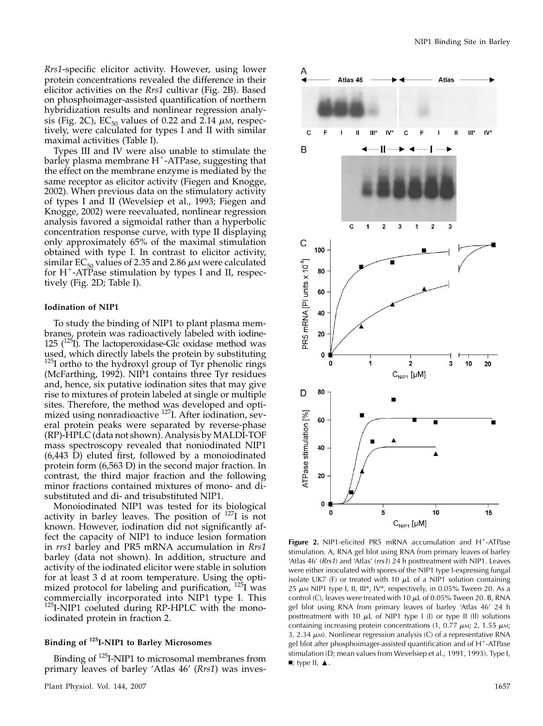Rrs1-specific elicitor activity. However, using lower protein concentrations revealed the difference in their elicitor activities on the Rrs1 cultivar (Fig. 2B). Based on phosphoimager-assisted quantification of northern hybridization results and nonlinear regression analysis (Fig. 2C),  $EC_{50}$  values of 0.22 and 2.14  $\mu$ M, respectively, were calculated for types I and II with similar maximal activities (Table I).

Types III and IV were also unable to stimulate the barley plasma membrane  $H^+$ -ATPase, suggesting that the effect on the membrane enzyme is mediated by the same receptor as elicitor activity (Fiegen and Knogge, 2002). When previous data on the stimulatory activity of types I and II (Wevelsiep et al., 1993; Fiegen and Knogge, 2002) were reevaluated, nonlinear regression analysis favored a sigmoidal rather than a hyperbolic concentration response curve, with type II displaying only approximately 65% of the maximal stimulation obtained with type I. In contrast to elicitor activity, similar  $EC_{50}$  values of 2.35 and 2.86  $\mu$ M were calculated for  $H^*$ -ATPase stimulation by types I and II, respectively (Fig. 2D; Table I).

### Iodination of NIP1

To study the binding of NIP1 to plant plasma membranes, protein was radioactively labeled with iodine-125  $(^{125}I)$ . The lactoperoxidase-Glc oxidase method was used, which directly labels the protein by substituting  $125$ I ortho to the hydroxyl group of Tyr phenolic rings (McFarthing, 1992). NIP1 contains three Tyr residues and, hence, six putative iodination sites that may give rise to mixtures of protein labeled at single or multiple sites. Therefore, the method was developed and optimized using nonradioactive <sup>127</sup>I. After iodination, several protein peaks were separated by reverse-phase (RP)-HPLC (data not shown). Analysis by MALDI-TOF mass spectroscopy revealed that noniodinated NIP1 (6,443 D) eluted first, followed by a monoiodinated protein form (6,563 D) in the second major fraction. In contrast, the third major fraction and the following minor fractions contained mixtures of mono- and disubstituted and di- and trisubstituted NIP1.

Monoiodinated NIP1 was tested for its biological activity in barley leaves. The position of  $^{127}I$  is not known. However, iodination did not significantly affect the capacity of NIP1 to induce lesion formation in rrs1 barley and PR5 mRNA accumulation in Rrs1 barley (data not shown). In addition, structure and activity of the iodinated elicitor were stable in solution for at least 3 d at room temperature. Using the optimized protocol for labeling and purification,  $^{125}$ I was commercially incorporated into NIP1 type I. This  $125$ I-NIP1 coeluted during RP-HPLC with the monoiodinated protein in fraction 2.

## Binding of 125I-NIP1 to Barley Microsomes

Binding of  $^{125}$ I-NIP1 to microsomal membranes from primary leaves of barley 'Atlas 46' (Rrs1) was inves-



Figure 2. NIP1-elicited PR5 mRNA accumulation and  $H^+$ -ATPase stimulation. A, RNA gel blot using RNA from primary leaves of barley 'Atlas 46' (Rrs1) and 'Atlas' (rrs1) 24 h posttreatment with NIP1. Leaves were either inoculated with spores of the NIP1 type I-expressing fungal isolate UK7 (F) or treated with 10  $\mu$ L of a NIP1 solution containing 25  $\mu$ M NIP1 type I, II, III\*, IV\*, respectively, in 0.05% Tween 20. As a control (C), leaves were treated with 10  $\mu$ L of 0.05% Tween 20. B, RNA gel blot using RNA from primary leaves of barley 'Atlas 46' 24 h posttreatment with 10  $\mu$ L of NIP1 type I (I) or type II (II) solutions containing increasing protein concentrations (1, 0.77  $\mu$ M; 2, 1.55  $\mu$ M; 3, 2.34  $\mu$ M). Nonlinear regression analysis (C) of a representative RNA gel blot after phosphoimager-assisted quantification and of  $H^+$ -ATPase stimulation (D; mean values from Wevelsiep et al., 1991, 1993). Type I,  $\blacksquare$ ; type II,  $\blacktriangle$ .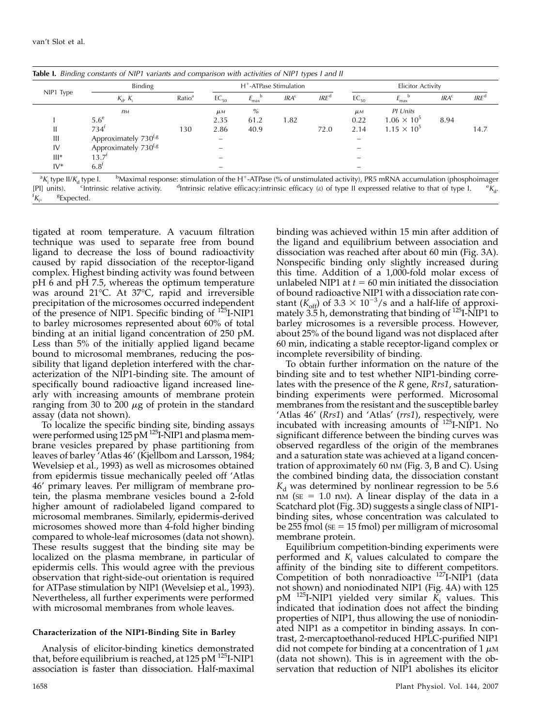| NIP1 Type | Binding                          | $H^+$ -ATPase Stimulation |                    |                  |                  | <b>Elicitor Activity</b> |                    |                             |                  |                  |
|-----------|----------------------------------|---------------------------|--------------------|------------------|------------------|--------------------------|--------------------|-----------------------------|------------------|------------------|
|           | $K_{\rm d}$ , $K_{\rm i}$        | Ratio <sup>a</sup>        | $EC_{50}$          | $E_{\text{max}}$ | IRA <sup>c</sup> | IRE <sup>d</sup>         | $EC_{50}$          | $E_{\text{max}}^{\text{D}}$ | IRA <sup>c</sup> | IRE <sup>d</sup> |
|           | <b>n</b> <sub>M</sub>            |                           | $\mu$ <sub>M</sub> | $\%$             |                  |                          | $\mu$ <sub>M</sub> | PI Units                    |                  |                  |
|           | $5.6^\mathrm{e}$                 |                           | 2.35               | 61.2             | 1.82             |                          | 0.22               | $1.06 \times 10^{5}$        | 8.94             |                  |
|           | 734'                             | 130                       | 2.86               | 40.9             |                  | 72.0                     | 2.14               | $1.15 \times 10^{5}$        |                  | 14.7             |
| Ш         | Approximately 730 <sup>f,g</sup> |                           |                    |                  |                  |                          |                    |                             |                  |                  |
| IV        | Approximately 730 <sup>t,g</sup> |                           |                    |                  |                  |                          |                    |                             |                  |                  |
| $III*$    | $13.7^{\circ}$                   |                           |                    |                  |                  |                          |                    |                             |                  |                  |
| $IV^*$    | $6.8^{\dagger}$                  |                           |                    |                  |                  |                          |                    |                             |                  |                  |

 $K_i$  type II/ $K_d$  type I.  $b$ Maximal response: stimulation of the H<sup>+</sup>-ATPase (% of unstimulated activity), PR5 mRNA accumulation (phosphoimager  $[PI]$  units). <sup>c</sup>Intrinsic relative activity. [PI] units). <sup>C</sup>Intrinsic relative activity. <sup>d</sup>Intrinsic relative efficacy:intrinsic efficacy (*e*) of type II expressed relative to that of type I. <sup>e</sup>K<sub>d</sub>.  ${}^{\mathsf{r}}\mathcal{K}$  . . <sup>g</sup>Expected.

tigated at room temperature. A vacuum filtration technique was used to separate free from bound ligand to decrease the loss of bound radioactivity caused by rapid dissociation of the receptor-ligand complex. Highest binding activity was found between pH 6 and pH 7.5, whereas the optimum temperature was around 21°C. At 37°C, rapid and irreversible precipitation of the microsomes occurred independent of the presence of NIP1. Specific binding of <sup>125</sup>I-NIP1 to barley microsomes represented about 60% of total binding at an initial ligand concentration of 250 pM. Less than 5% of the initially applied ligand became bound to microsomal membranes, reducing the possibility that ligand depletion interfered with the characterization of the NIP1-binding site. The amount of specifically bound radioactive ligand increased linearly with increasing amounts of membrane protein ranging from 30 to 200  $\mu$ g of protein in the standard assay (data not shown).

To localize the specific binding site, binding assays were performed using 125 pM<sup>125</sup>I-NIP1 and plasma membrane vesicles prepared by phase partitioning from leaves of barley 'Atlas 46' (Kjellbom and Larsson, 1984; Wevelsiep et al., 1993) as well as microsomes obtained from epidermis tissue mechanically peeled off 'Atlas 46' primary leaves. Per milligram of membrane protein, the plasma membrane vesicles bound a 2-fold higher amount of radiolabeled ligand compared to microsomal membranes. Similarly, epidermis-derived microsomes showed more than 4-fold higher binding compared to whole-leaf microsomes (data not shown). These results suggest that the binding site may be localized on the plasma membrane, in particular of epidermis cells. This would agree with the previous observation that right-side-out orientation is required for ATPase stimulation by NIP1 (Wevelsiep et al., 1993). Nevertheless, all further experiments were performed with microsomal membranes from whole leaves.

## Characterization of the NIP1-Binding Site in Barley

Analysis of elicitor-binding kinetics demonstrated that, before equilibrium is reached, at  $125$  pM  $^{125}$ I-NIP1 association is faster than dissociation. Half-maximal binding was achieved within 15 min after addition of the ligand and equilibrium between association and dissociation was reached after about 60 min (Fig. 3A). Nonspecific binding only slightly increased during this time. Addition of a 1,000-fold molar excess of unlabeled NIP1 at  $t = 60$  min initiated the dissociation of bound radioactive NIP1 with a dissociation rate constant ( $K_{\text{off}}$ ) of 3.3  $\times$  10<sup>-3</sup>/s and a half-life of approximately  $3.5$  h, demonstrating that binding of  $125$ I-NIP1 to barley microsomes is a reversible process. However, about 25% of the bound ligand was not displaced after 60 min, indicating a stable receptor-ligand complex or incomplete reversibility of binding.

To obtain further information on the nature of the binding site and to test whether NIP1-binding correlates with the presence of the R gene, Rrs1, saturationbinding experiments were performed. Microsomal membranes from the resistant and the susceptible barley 'Atlas 46' (Rrs1) and 'Atlas' (rrs1), respectively, were incubated with increasing amounts of 125I-NIP1. No significant difference between the binding curves was observed regardless of the origin of the membranes and a saturation state was achieved at a ligand concentration of approximately 60 nM (Fig. 3, B and C). Using the combined binding data, the dissociation constant  $K_d$  was determined by nonlinear regression to be 5.6  $nM$  ( $SE = 1.0$  nM). A linear display of the data in a Scatchard plot (Fig. 3D) suggests a single class of NIP1 binding sites, whose concentration was calculated to be 255 fmol ( $SE = 15$  fmol) per milligram of microsomal membrane protein.

Equilibrium competition-binding experiments were performed and  $K<sub>i</sub>$  values calculated to compare the affinity of the binding site to different competitors. Competition of both nonradioactive <sup>127</sup>I-NIP1 (data not shown) and noniodinated NIP1 (Fig. 4A) with 125  $pM$ <sup>125</sup>I-NIP1 yielded very similar  $\overline{K}_i$  values. This indicated that iodination does not affect the binding properties of NIP1, thus allowing the use of noniodinated NIP1 as a competitor in binding assays. In contrast, 2-mercaptoethanol-reduced HPLC-purified NIP1 did not compete for binding at a concentration of  $1 \mu$ M (data not shown). This is in agreement with the observation that reduction of NIP1 abolishes its elicitor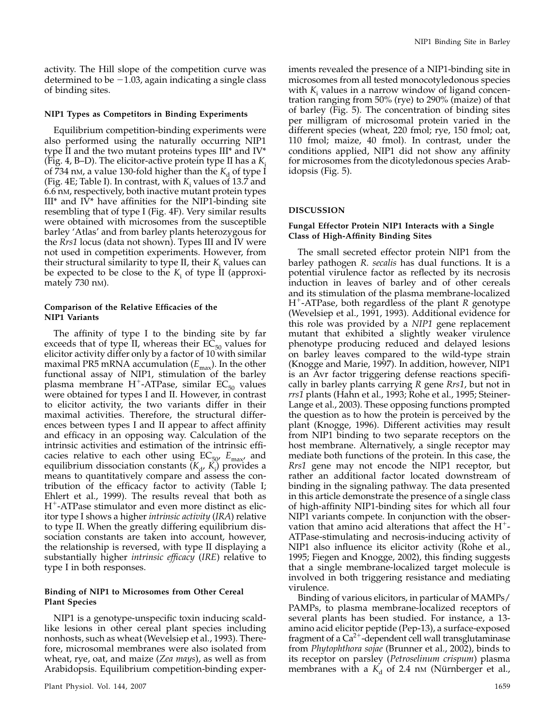activity. The Hill slope of the competition curve was determined to be  $-1.03$ , again indicating a single class of binding sites.

#### NIP1 Types as Competitors in Binding Experiments

Equilibrium competition-binding experiments were also performed using the naturally occurring NIP1 type II and the two mutant proteins types III\* and IV\* (Fig. 4, B–D). The elicitor-active protein type II has a  $K_i$ of 734 nm, a value 130-fold higher than the  $K_d$  of type I (Fig. 4E; Table I). In contrast, with  $K_i$  values of 13.7 and 6.6 nM, respectively, both inactive mutant protein types  $III^*$  and  $IV^*$  have affinities for the NIP1-binding site resembling that of type I (Fig. 4F). Very similar results were obtained with microsomes from the susceptible barley 'Atlas' and from barley plants heterozygous for the Rrs1 locus (data not shown). Types III and IV were not used in competition experiments. However, from their structural similarity to type II, their  $K_i$  values can be expected to be close to the  $K<sub>i</sub>$  of type II (approximately 730 nM).

## Comparison of the Relative Efficacies of the NIP1 Variants

The affinity of type I to the binding site by far exceeds that of type II, whereas their  $EC_{50}$  values for elicitor activity differ only by a factor of 10 with similar maximal PR5 mRNA accumulation  $(E_{\text{max}})$ . In the other functional assay of NIP1, stimulation of the barley plasma membrane H<sup>+</sup>-ATPase, similar EC<sub>50</sub> values were obtained for types I and II. However, in contrast to elicitor activity, the two variants differ in their maximal activities. Therefore, the structural differences between types I and II appear to affect affinity and efficacy in an opposing way. Calculation of the intrinsic activities and estimation of the intrinsic efficacies relative to each other using  $EC_{50}$ ,  $E_{\text{max}}$ , and equilibrium dissociation constants  $(K_d, K_i)$  provides a means to quantitatively compare and assess the contribution of the efficacy factor to activity (Table I; Ehlert et al., 1999). The results reveal that both as  $H^+$ -ATPase stimulator and even more distinct as elicitor type I shows a higher intrinsic activity (IRA) relative to type II. When the greatly differing equilibrium dissociation constants are taken into account, however, the relationship is reversed, with type II displaying a substantially higher *intrinsic efficacy* (IRE) relative to type I in both responses.

## Binding of NIP1 to Microsomes from Other Cereal Plant Species

NIP1 is a genotype-unspecific toxin inducing scaldlike lesions in other cereal plant species including nonhosts, such as wheat (Wevelsiep et al., 1993). Therefore, microsomal membranes were also isolated from wheat, rye, oat, and maize (Zea mays), as well as from Arabidopsis. Equilibrium competition-binding exper-

iments revealed the presence of a NIP1-binding site in microsomes from all tested monocotyledonous species with  $K<sub>i</sub>$  values in a narrow window of ligand concentration ranging from 50% (rye) to 290% (maize) of that of barley (Fig. 5). The concentration of binding sites per milligram of microsomal protein varied in the different species (wheat, 220 fmol; rye, 150 fmol; oat, 110 fmol; maize, 40 fmol). In contrast, under the conditions applied, NIP1 did not show any affinity for microsomes from the dicotyledonous species Arabidopsis (Fig. 5).

#### DISCUSSION

## Fungal Effector Protein NIP1 Interacts with a Single Class of High-Affinity Binding Sites

The small secreted effector protein NIP1 from the barley pathogen R. secalis has dual functions. It is a potential virulence factor as reflected by its necrosis induction in leaves of barley and of other cereals and its stimulation of the plasma membrane-localized  $H^+$ -ATPase, both regardless of the plant R genotype (Wevelsiep et al., 1991, 1993). Additional evidence for this role was provided by a NIP1 gene replacement mutant that exhibited a slightly weaker virulence phenotype producing reduced and delayed lesions on barley leaves compared to the wild-type strain (Knogge and Marie, 1997). In addition, however, NIP1 is an Avr factor triggering defense reactions specifically in barley plants carrying R gene Rrs1, but not in rrs1 plants (Hahn et al., 1993; Rohe et al., 1995; Steiner-Lange et al., 2003). These opposing functions prompted the question as to how the protein is perceived by the plant (Knogge, 1996). Different activities may result from NIP1 binding to two separate receptors on the host membrane. Alternatively, a single receptor may mediate both functions of the protein. In this case, the Rrs1 gene may not encode the NIP1 receptor, but rather an additional factor located downstream of binding in the signaling pathway. The data presented in this article demonstrate the presence of a single class of high-affinity NIP1-binding sites for which all four NIP1 variants compete. In conjunction with the observation that amino acid alterations that affect the  $H^+$ -ATPase-stimulating and necrosis-inducing activity of NIP1 also influence its elicitor activity (Rohe et al., 1995; Fiegen and Knogge, 2002), this finding suggests that a single membrane-localized target molecule is involved in both triggering resistance and mediating virulence.

Binding of various elicitors, in particular of MAMPs/ PAMPs, to plasma membrane-localized receptors of several plants has been studied. For instance, a 13 amino acid elicitor peptide (Pep-13), a surface-exposed fragment of a  $Ca^{2+}$ -dependent cell wall transglutaminase from Phytophthora sojae (Brunner et al., 2002), binds to its receptor on parsley (Petroselinum crispum) plasma membranes with a  $K_d$  of 2.4 nm (Nürnberger et al.,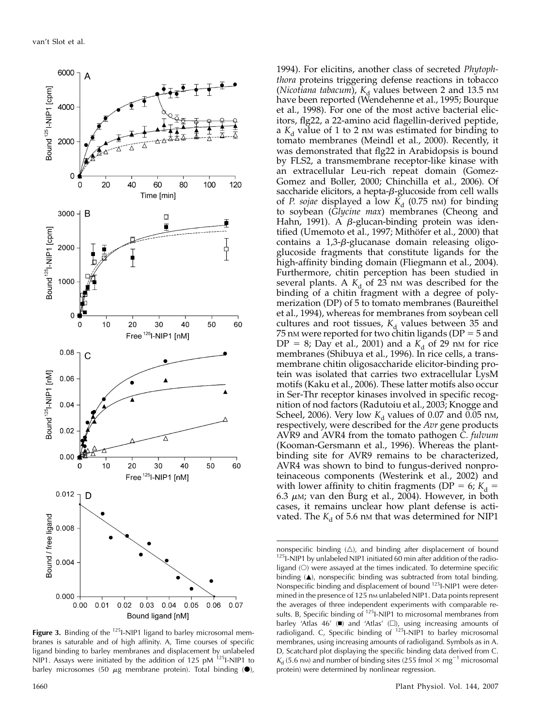

Figure 3. Binding of the <sup>125</sup>I-NIP1 ligand to barley microsomal membranes is saturable and of high affinity. A, Time courses of specific ligand binding to barley membranes and displacement by unlabeled NIP1. Assays were initiated by the addition of 125 pM  $^{125}$ I-NIP1 to barley microsomes (50  $\mu$ g membrane protein). Total binding ( $\bullet$ ),

1994). For elicitins, another class of secreted Phytophthora proteins triggering defense reactions in tobacco (Nicotiana tabacum),  $K_d$  values between 2 and 13.5 nm have been reported (Wendehenne et al., 1995; Bourque et al., 1998). For one of the most active bacterial elicitors, flg22, a 22-amino acid flagellin-derived peptide, a  $K_d$  value of 1 to 2 nm was estimated for binding to tomato membranes (Meindl et al., 2000). Recently, it was demonstrated that flg22 in Arabidopsis is bound by FLS2, a transmembrane receptor-like kinase with an extracellular Leu-rich repeat domain (Gomez-Gomez and Boller, 2000; Chinchilla et al., 2006). Of saccharide elicitors, a hepta- $\beta$ -glucoside from cell walls of P. sojae displayed a low  $\breve{K}_d$  (0.75 nm) for binding to soybean (Glycine max) membranes (Cheong and Hahn, 1991). A  $\beta$ -glucan-binding protein was identified (Umemoto et al., 1997; Mithöfer et al., 2000) that contains a  $1,3$ - $\beta$ -glucanase domain releasing oligoglucoside fragments that constitute ligands for the high-affinity binding domain (Fliegmann et al., 2004). Furthermore, chitin perception has been studied in several plants. A  $K_d$  of 23 nm was described for the binding of a chitin fragment with a degree of polymerization (DP) of 5 to tomato membranes (Baureithel et al., 1994), whereas for membranes from soybean cell cultures and root tissues,  $K_d$  values between 35 and 75 nm were reported for two chitin ligands ( $DP = 5$  and DP = 8; Day et al., 2001) and a  $K_d$  of 29 nm for rice membranes (Shibuya et al., 1996). In rice cells, a transmembrane chitin oligosaccharide elicitor-binding protein was isolated that carries two extracellular LysM motifs (Kaku et al., 2006). These latter motifs also occur in Ser-Thr receptor kinases involved in specific recognition of nod factors (Radutoiu et al., 2003; Knogge and Scheel, 2006). Very low  $K_d$  values of 0.07 and 0.05 nm, respectively, were described for the Avr gene products AVR9 and AVR4 from the tomato pathogen C. fulvum (Kooman-Gersmann et al., 1996). Whereas the plantbinding site for AVR9 remains to be characterized, AVR4 was shown to bind to fungus-derived nonproteinaceous components (Westerink et al., 2002) and with lower affinity to chitin fragments (DP = 6;  $K_d$  = 6.3  $\mu$ M; van den Burg et al., 2004). However, in both cases, it remains unclear how plant defense is activated. The  $K_d$  of 5.6 nm that was determined for NIP1

nonspecific binding  $(\triangle)$ , and binding after displacement of bound  $125$ I-NIP1 by unlabeled NIP1 initiated 60 min after addition of the radioligand  $(O)$  were assayed at the times indicated. To determine specific binding  $(\triangle)$ , nonspecific binding was subtracted from total binding. Nonspecific binding and displacement of bound <sup>125</sup>I-NIP1 were determined in the presence of 125 nm unlabeled NIP1. Data points represent the averages of three independent experiments with comparable results. B, Specific binding of  $^{125}$ I-NIP1 to microsomal membranes from barley 'Atlas 46'  $(\blacksquare)$  and 'Atlas'  $(\square)$ , using increasing amounts of radioligand. C, Specific binding of  $^{125}$ I-NIP1 to barley microsomal membranes, using increasing amounts of radioligand. Symbols as in A. D, Scatchard plot displaying the specific binding data derived from C.  $K_d$  (5.6 nm) and number of binding sites (255 fmol  $\times$  mg<sup>-1</sup> microsomal protein) were determined by nonlinear regression.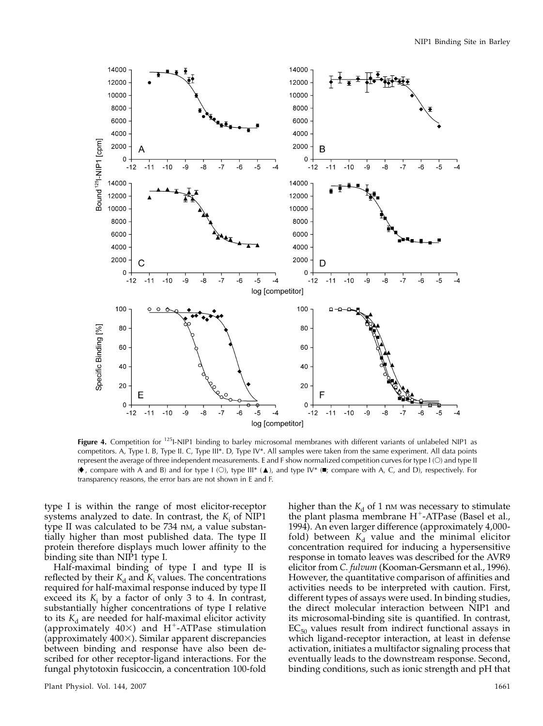

Figure 4. Competition for <sup>125</sup>I-NIP1 binding to barley microsomal membranes with different variants of unlabeled NIP1 as competitors. A, Type I. B, Type II. C, Type III\*. D, Type IV\*. All samples were taken from the same experiment. All data points represent the average of three independent measurements. E and F show normalized competition curves for type I (O) and type II  $(\blacklozenge,$  compare with A and B) and for type I (O), type III\* ( $\blacktriangle$ ), and type IV\* ( $\blacktriangleright$ ; compare with A, C, and D), respectively. For transparency reasons, the error bars are not shown in E and F.

type I is within the range of most elicitor-receptor systems analyzed to date. In contrast, the  $K_i$  of NIP1 type II was calculated to be 734 nm, a value substantially higher than most published data. The type II protein therefore displays much lower affinity to the binding site than NIP1 type I.

Half-maximal binding of type I and type II is reflected by their  $K_d$  and  $K_i$  values. The concentrations required for half-maximal response induced by type II exceed its  $K_i$  by a factor of only 3 to 4. In contrast, substantially higher concentrations of type I relative to its  $K_d$  are needed for half-maximal elicitor activity (approximately  $40\times$ ) and H<sup>+</sup>-ATPase stimulation (approximately  $400\times$ ). Similar apparent discrepancies between binding and response have also been described for other receptor-ligand interactions. For the fungal phytotoxin fusicoccin, a concentration 100-fold

higher than the  $K_d$  of 1 nm was necessary to stimulate the plant plasma membrane  $H^+$ -ATPase (Basel et al., 1994). An even larger difference (approximately 4,000 fold) between  $K_d$  value and the minimal elicitor concentration required for inducing a hypersensitive response in tomato leaves was described for the AVR9 elicitor from C. fulvum (Kooman-Gersmann et al., 1996). However, the quantitative comparison of affinities and activities needs to be interpreted with caution. First, different types of assays were used. In binding studies, the direct molecular interaction between NIP1 and its microsomal-binding site is quantified. In contrast,  $EC_{50}$  values result from indirect functional assays in which ligand-receptor interaction, at least in defense activation, initiates a multifactor signaling process that eventually leads to the downstream response. Second, binding conditions, such as ionic strength and pH that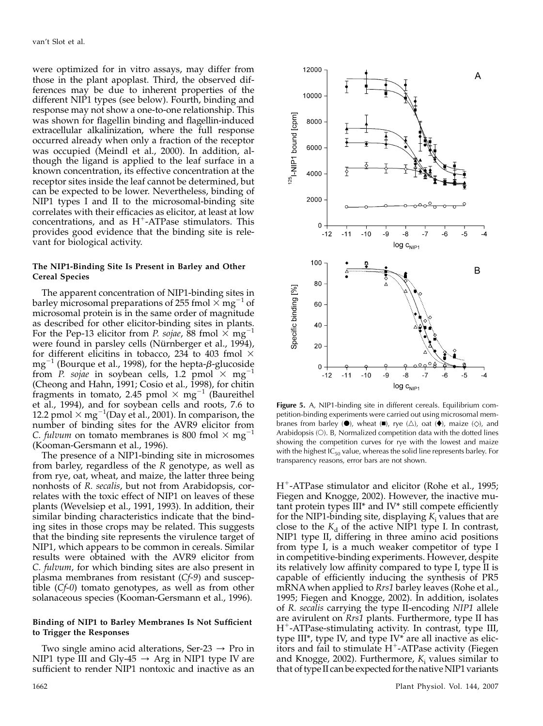were optimized for in vitro assays, may differ from those in the plant apoplast. Third, the observed differences may be due to inherent properties of the different NIP1 types (see below). Fourth, binding and response may not show a one-to-one relationship. This was shown for flagellin binding and flagellin-induced extracellular alkalinization, where the full response occurred already when only a fraction of the receptor was occupied (Meindl et al., 2000). In addition, although the ligand is applied to the leaf surface in a known concentration, its effective concentration at the receptor sites inside the leaf cannot be determined, but can be expected to be lower. Nevertheless, binding of NIP1 types I and II to the microsomal-binding site correlates with their efficacies as elicitor, at least at low concentrations, and as  $H^+$ -ATPase stimulators. This provides good evidence that the binding site is relevant for biological activity.

## The NIP1-Binding Site Is Present in Barley and Other Cereal Species

The apparent concentration of NIP1-binding sites in barley microsomal preparations of 255 fmol  $\times$  mg<sup>-1</sup> of microsomal protein is in the same order of magnitude as described for other elicitor-binding sites in plants. For the Pep-13 elicitor from *P. sojae*, 88 fmol  $\times$  mg<sup>-1</sup> were found in parsley cells (Nürnberger et al., 1994), for different elicitins in tobacco, 234 to 403 fmol  $\times$  $mg^{-1}$  (Bourque et al., 1998), for the hepta- $\beta$ -glucoside from *P. sojae* in soybean cells, 1.2 pmol  $\times$  mg<sup>-1</sup> (Cheong and Hahn, 1991; Cosio et al., 1998), for chitin fragments in tomato, 2.45 pmol  $\times$  mg<sup>-1</sup> (Baureithel et al., 1994), and for soybean cells and roots, 7.6 to 12.2 pmol  $\times$  mg<sup>-1</sup>(Day et al., 2001). In comparison, the number of binding sites for the AVR9 elicitor from *C. fulvum* on tomato membranes is 800 fmol  $\times$  mg<sup>-1</sup> (Kooman-Gersmann et al., 1996).

The presence of a NIP1-binding site in microsomes from barley, regardless of the R genotype, as well as from rye, oat, wheat, and maize, the latter three being nonhosts of R. secalis, but not from Arabidopsis, correlates with the toxic effect of NIP1 on leaves of these plants (Wevelsiep et al., 1991, 1993). In addition, their similar binding characteristics indicate that the binding sites in those crops may be related. This suggests that the binding site represents the virulence target of NIP1, which appears to be common in cereals. Similar results were obtained with the AVR9 elicitor from C. fulvum, for which binding sites are also present in plasma membranes from resistant (Cf-9) and susceptible (Cf-0) tomato genotypes, as well as from other solanaceous species (Kooman-Gersmann et al., 1996).

#### Binding of NIP1 to Barley Membranes Is Not Sufficient to Trigger the Responses

Two single amino acid alterations, Ser-23  $\rightarrow$  Pro in NIP1 type III and Gly-45  $\rightarrow$  Arg in NIP1 type IV are sufficient to render NIP1 nontoxic and inactive as an



Figure 5. A, NIP1-binding site in different cereals. Equilibrium competition-binding experiments were carried out using microsomal membranes from barley ( $\bullet$ ), wheat ( $\bullet$ ), rye ( $\triangle$ ), oat ( $\bullet$ ), maize ( $\diamondsuit$ ), and Arabidopsis  $(O)$ . B, Normalized competition data with the dotted lines showing the competition curves for rye with the lowest and maize with the highest IC<sub>50</sub> value, whereas the solid line represents barley. For transparency reasons, error bars are not shown.

 $H^+$ -ATPase stimulator and elicitor (Rohe et al., 1995; Fiegen and Knogge, 2002). However, the inactive mutant protein types III\* and IV\* still compete efficiently for the NIP1-binding site, displaying  $K_i$  values that are close to the  $K_d$  of the active NIP1 type I. In contrast, NIP1 type II, differing in three amino acid positions from type I, is a much weaker competitor of type I in competitive-binding experiments. However, despite its relatively low affinity compared to type I, type II is capable of efficiently inducing the synthesis of PR5 mRNA when applied to Rrs1 barley leaves (Rohe et al., 1995; Fiegen and Knogge, 2002). In addition, isolates of R. secalis carrying the type II-encoding NIP1 allele are avirulent on Rrs1 plants. Furthermore, type II has  $H^+$ -ATPase-stimulating activity. In contrast, type III, type III\*, type IV, and type IV\* are all inactive as elicitors and fail to stimulate  $H^+$ -ATPase activity (Fiegen and Knogge, 2002). Furthermore,  $K<sub>i</sub>$  values similar to that of type II can be expected for the native NIP1 variants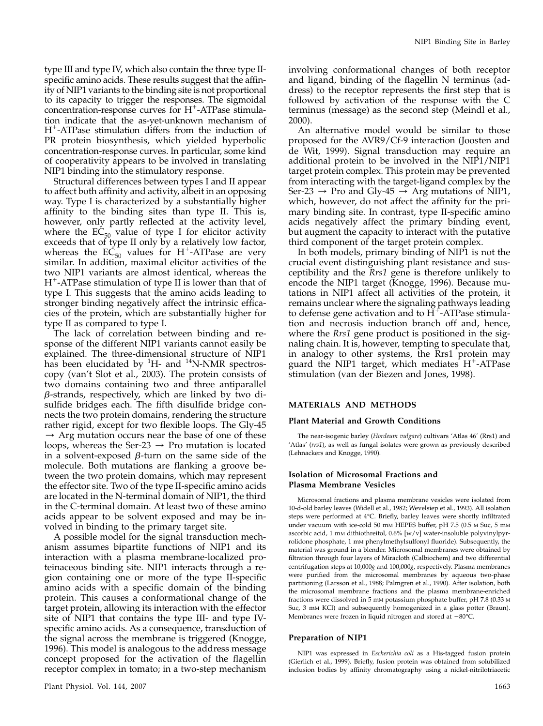type III and type IV, which also contain the three type IIspecific amino acids. These results suggest that the affinity of NIP1 variants to the binding site is not proportional to its capacity to trigger the responses. The sigmoidal concentration-response curves for  $H^+$ -ATPase stimulation indicate that the as-yet-unknown mechanism of  $H^+$ -ATPase stimulation differs from the induction of PR protein biosynthesis, which yielded hyperbolic concentration-response curves. In particular, some kind of cooperativity appears to be involved in translating NIP1 binding into the stimulatory response.

Structural differences between types I and II appear to affect both affinity and activity, albeit in an opposing way. Type I is characterized by a substantially higher affinity to the binding sites than type II. This is, however, only partly reflected at the activity level, where the  $EC_{50}$  value of type I for elicitor activity exceeds that of type II only by a relatively low factor, whereas the  $E\acute{C}_{50}$  values for H<sup>+</sup>-ATPase are very similar. In addition, maximal elicitor activities of the two NIP1 variants are almost identical, whereas the  $H^+$ -ATPase stimulation of type II is lower than that of type I. This suggests that the amino acids leading to stronger binding negatively affect the intrinsic efficacies of the protein, which are substantially higher for type II as compared to type I.

The lack of correlation between binding and response of the different NIP1 variants cannot easily be explained. The three-dimensional structure of NIP1 has been elucidated by  ${}^{1}$ H- and  ${}^{14}$ N-NMR spectroscopy (van't Slot et al., 2003). The protein consists of two domains containing two and three antiparallel  $\beta$ -strands, respectively, which are linked by two disulfide bridges each. The fifth disulfide bridge connects the two protein domains, rendering the structure rather rigid, except for two flexible loops. The Gly-45  $\rightarrow$  Arg mutation occurs near the base of one of these loops, whereas the Ser-23  $\rightarrow$  Pro mutation is located in a solvent-exposed  $\beta$ -turn on the same side of the molecule. Both mutations are flanking a groove between the two protein domains, which may represent the effector site. Two of the type II-specific amino acids are located in the N-terminal domain of NIP1, the third in the C-terminal domain. At least two of these amino acids appear to be solvent exposed and may be involved in binding to the primary target site.

A possible model for the signal transduction mechanism assumes bipartite functions of NIP1 and its interaction with a plasma membrane-localized proteinaceous binding site. NIP1 interacts through a region containing one or more of the type II-specific amino acids with a specific domain of the binding protein. This causes a conformational change of the target protein, allowing its interaction with the effector site of NIP1 that contains the type III- and type IVspecific amino acids. As a consequence, transduction of the signal across the membrane is triggered (Knogge, 1996). This model is analogous to the address message concept proposed for the activation of the flagellin receptor complex in tomato; in a two-step mechanism involving conformational changes of both receptor and ligand, binding of the flagellin N terminus (address) to the receptor represents the first step that is followed by activation of the response with the C terminus (message) as the second step (Meindl et al., 2000).

An alternative model would be similar to those proposed for the AVR9/Cf-9 interaction (Joosten and de Wit, 1999). Signal transduction may require an additional protein to be involved in the NIP1/NIP1 target protein complex. This protein may be prevented from interacting with the target-ligand complex by the Ser-23  $\rightarrow$  Pro and Gly-45  $\rightarrow$  Arg mutations of NIP1, which, however, do not affect the affinity for the primary binding site. In contrast, type II-specific amino acids negatively affect the primary binding event, but augment the capacity to interact with the putative third component of the target protein complex.

In both models, primary binding of NIP1 is not the crucial event distinguishing plant resistance and susceptibility and the Rrs1 gene is therefore unlikely to encode the NIP1 target (Knogge, 1996). Because mutations in NIP1 affect all activities of the protein, it remains unclear where the signaling pathways leading to defense gene activation and to  $H^+$ -ATPase stimulation and necrosis induction branch off and, hence, where the *Rrs1* gene product is positioned in the signaling chain. It is, however, tempting to speculate that, in analogy to other systems, the Rrs1 protein may guard the NIP1 target, which mediates  $H^+$ -ATPase stimulation (van der Biezen and Jones, 1998).

## MATERIALS AND METHODS

#### Plant Material and Growth Conditions

The near-isogenic barley (Hordeum vulgare) cultivars 'Atlas 46' (Rrs1) and 'Atlas' (rrs1), as well as fungal isolates were grown as previously described (Lehnackers and Knogge, 1990).

## Isolation of Microsomal Fractions and Plasma Membrane Vesicles

Microsomal fractions and plasma membrane vesicles were isolated from 10-d-old barley leaves (Widell et al., 1982; Wevelsiep et al., 1993). All isolation steps were performed at 4°C. Briefly, barley leaves were shortly infiltrated under vacuum with ice-cold 50 mm HEPES buffer, pH 7.5 (0.5 m Suc, 5 mm ascorbic acid, 1 mm dithiothreitol, 0.6% [w/v] water-insoluble polyvinylpyrrolidone phosphate, 1 mm phenylmethylsulfonyl fluoride). Subsequently, the material was ground in a blender. Microsomal membranes were obtained by filtration through four layers of Miracloth (Calbiochem) and two differential centrifugation steps at 10,000g and 100,000g, respectively. Plasma membranes were purified from the microsomal membranes by aqueous two-phase partitioning (Larsson et al., 1988; Palmgren et al., 1990). After isolation, both the microsomal membrane fractions and the plasma membrane-enriched fractions were dissolved in 5 mm potassium phosphate buffer, pH 7.8 (0.33 M Suc, 3 mm KCl) and subsequently homogenized in a glass potter (Braun). Membranes were frozen in liquid nitrogen and stored at  $-80^{\circ}$ C.

#### Preparation of NIP1

NIP1 was expressed in Escherichia coli as a His-tagged fusion protein (Gierlich et al., 1999). Briefly, fusion protein was obtained from solubilized inclusion bodies by affinity chromatography using a nickel-nitrilotriacetic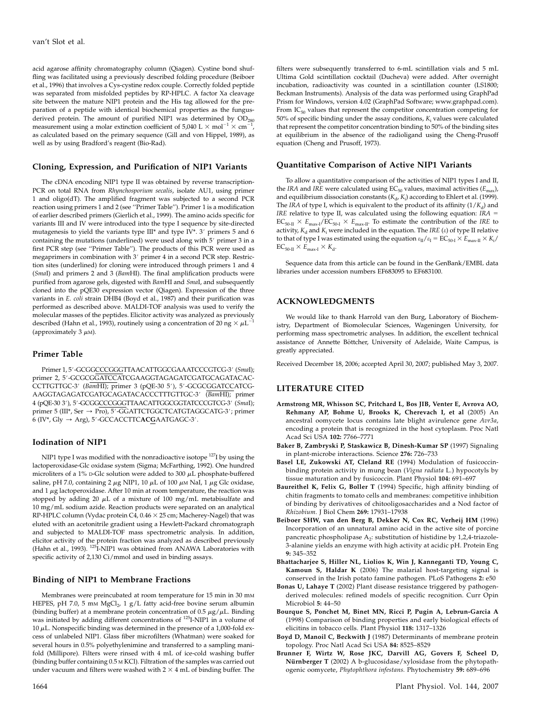acid agarose affinity chromatography column (Qiagen). Cystine bond shuffling was facilitated using a previously described folding procedure (Beiboer et al., 1996) that involves a Cys-cystine redox couple. Correctly folded peptide was separated from misfolded peptides by RP-HPLC. A factor Xa cleavage site between the mature NIP1 protein and the His tag allowed for the preparation of a peptide with identical biochemical properties as the fungusderived protein. The amount of purified NIP1 was determined by  $OD_{280}$ measurement using a molar extinction coefficient of 5,040 L  $\times$  mol<sup>-1</sup>  $\times$  cm<sup>-</sup> , as calculated based on the primary sequence (Gill and von Hippel, 1989), as well as by using Bradford's reagent (Bio-Rad).

#### Cloning, Expression, and Purification of NIP1 Variants

The cDNA encoding NIP1 type II was obtained by reverse transcription-PCR on total RNA from Rhynchosporium secalis, isolate AU1, using primer 1 and oligo(dT). The amplified fragment was subjected to a second PCR reaction using primers 1 and 2 (see ''Primer Table''). Primer 1 is a modification of earlier described primers (Gierlich et al., 1999). The amino acids specific for variants III and IV were introduced into the type I sequence by site-directed mutagenesis to yield the variants type  $III^*$  and type  $IV^*$ . 3' primers 5 and 6 containing the mutations (underlined) were used along with 5' primer 3 in a first PCR step (see ''Primer Table''). The products of this PCR were used as megaprimers in combination with 3' primer 4 in a second PCR step. Restriction sites (underlined) for cloning were introduced through primers 1 and 4 (SmaI) and primers 2 and 3 (BamHI). The final amplification products were purified from agarose gels, digested with BamHI and SmaI, and subsequently cloned into the pQE30 expression vector (Qiagen). Expression of the three variants in *E. coli* strain DHB4 (Boyd et al., 1987) and their purification was performed as described above. MALDI-TOF analysis was used to verify the molecular masses of the peptides. Elicitor activity was analyzed as previously described (Hahn et al., 1993), routinely using a concentration of 20 ng  $\times \mu L$ <sup>-</sup> (approximately  $3 \mu$ M).

#### Primer Table

Primer 1, 5'-GCGGCCCGGGTTAACATTGGCGAAATCCCGTCG-3' (SmaI); primer 2, 5'-GCGCGGATCCATCGAAGGTAGAGATCGATGCAGATACAC-CCTTGTTGC-3' (BamHI); primer 3 (pQE-30 5'), 5'-GCGCGGATCCATCG-AAGGTAGAGATCGATGCAGATACACCCTTTGTTGC-3' (BamHI); primer 4 (pQE-30 3'), 5'-GCGGCCCGGGTTAACATTGGCGGTATCCCGTCG-3' (SmaI); primer 5 (III\*, Ser  $\rightarrow$  Pro), 5'-GGATTCTGGCTCATGTAGGCATG-3'; primer  $6$  (IV\*, Gly  $\rightarrow$  Arg), 5'-GCCACCTTCACGAATGAGC-3'.

#### Iodination of NIP1

NIP1 type I was modified with the nonradioactive isotope <sup>127</sup>I by using the lactoperoxidase-Glc oxidase system (Sigma; McFarthing, 1992). One hundred microliters of a 1% D-Glc solution were added to 300  $\mu$ L phosphate-buffered saline, pH 7.0, containing 2  $\mu$ g NIP1, 10  $\mu$ L of 100  $\mu$ M NaI, 1  $\mu$ g Glc oxidase, and  $1 \mu$ g lactoperoxidase. After 10 min at room temperature, the reaction was stopped by adding 20  $\mu$ L of a mixture of 100 mg/mL metabisulfate and 10 mg/mL sodium azide. Reaction products were separated on an analytical RP-HPLC column (Vydac protein C4,  $0.46 \times 25$  cm; Macherey-Nagel) that was eluted with an acetonitrile gradient using a Hewlett-Packard chromatograph and subjected to MALDI-TOF mass spectrometric analysis. In addition, elicitor activity of the protein fraction was analyzed as described previously (Hahn et al., 1993). <sup>125</sup>I-NIP1 was obtained from ANAWA Laboratories with specific activity of 2,130 Ci/mmol and used in binding assays.

#### Binding of NIP1 to Membrane Fractions

Membranes were preincubated at room temperature for 15 min in 30 mM HEPES, pH 7.0, 5 mm MgCl<sub>2</sub>, 1 g/L fatty acid-free bovine serum albumin (binding buffer) at a membrane protein concentration of 0.5  $\mu$ g/ $\mu$ L. Binding was initiated by adding different concentrations of <sup>125</sup>I-NIP1 in a volume of  $10 \mu$ L. Nonspecific binding was determined in the presence of a 1,000-fold excess of unlabeled NIP1. Glass fiber microfilters (Whatman) were soaked for several hours in 0.5% polyethylenimine and transferred to a sampling manifold (Millipore). Filters were rinsed with 4 mL of ice-cold washing buffer (binding buffer containing 0.5 M KCl). Filtration of the samples was carried out under vacuum and filters were washed with  $2 \times 4$  mL of binding buffer. The

filters were subsequently transferred to 6-mL scintillation vials and 5 mL Ultima Gold scintillation cocktail (Ducheva) were added. After overnight incubation, radioactivity was counted in a scintillation counter (LS1800; Beckman Instruments). Analysis of the data was performed using GraphPad Prism for Windows, version 4.02 (GraphPad Software; www.graphpad.com). From  $IC_{50}$  values that represent the competitor concentration competing for 50% of specific binding under the assay conditions,  $K<sub>i</sub>$  values were calculated that represent the competitor concentration binding to 50% of the binding sites at equilibrium in the absence of the radioligand using the Cheng-Prusoff equation (Cheng and Prusoff, 1973).

#### Quantitative Comparison of Active NIP1 Variants

To allow a quantitative comparison of the activities of NIP1 types I and II, the IRA and IRE were calculated using  $EC_{50}$  values, maximal activities ( $E_{\text{max}}$ ), and equilibrium dissociation constants ( $K_d$ ,  $K_i$ ) according to Ehlert et al. (1999). The IRA of type I, which is equivalent to the product of its affinity  $(1/K_d)$  and IRE relative to type II, was calculated using the following equation:  $\overline{IRA}$  =  $EC_{50\text{-II}} \times E_{\text{max-I}}/EC_{50\text{-I}} \times E_{\text{max-II}}$ . To estimate the contribution of the IRE to activity,  $K_d$  and  $K_i$  were included in the equation. The IRE ( $\varepsilon$ ) of type II relative to that of type I was estimated using the equation  $\varepsilon_{II}/\varepsilon_{I} = EC_{50\text{-}I} \times E_{\text{max-II}} \times K_{i}/$  $EC_{50\text{-}II} \times E_{\text{max-I}} \times K_d.$ 

Sequence data from this article can be found in the GenBank/EMBL data libraries under accession numbers EF683095 to EF683100.

## ACKNOWLEDGMENTS

We would like to thank Harrold van den Burg, Laboratory of Biochemistry, Department of Biomolecular Sciences, Wageningen University, for performing mass spectrometric analyses. In addition, the excellent technical assistance of Annette Böttcher, University of Adelaide, Waite Campus, is greatly appreciated.

Received December 18, 2006; accepted April 30, 2007; published May 3, 2007.

#### LITERATURE CITED

- Armstrong MR, Whisson SC, Pritchard L, Bos JIB, Venter E, Avrova AO, Rehmany AP, Bohme U, Brooks K, Cherevach I, et al (2005) An ancestral oomycete locus contains late blight avirulence gene Avr3a, encoding a protein that is recognized in the host cytoplasm. Proc Natl Acad Sci USA 102: 7766–7771
- Baker B, Zambryski P, Staskawicz B, Dinesh-Kumar SP (1997) Signaling in plant-microbe interactions. Science 276: 726–733
- Basel LE, Zukowski AT, Cleland RE (1994) Modulation of fusicoccinbinding protein activity in mung bean (Vigna radiata L.) hypocotyls by tissue maturation and by fusicoccin. Plant Physiol 104: 691–697
- Baureithel K, Felix G, Boller T (1994) Specific, high affinity binding of chitin fragments to tomato cells and membranes: competitive inhibition of binding by derivatives of chitooligosaccharides and a Nod factor of Rhizobium. J Biol Chem 269: 17931–17938
- Beiboer SHW, van den Berg B, Dekker N, Cox RC, Verheij HM (1996) Incorporation of an unnatural amino acid in the active site of porcine pancreatic phospholipase  $A_2$ : substitution of histidine by 1,2,4-triazole-3-alanine yields an enzyme with high activity at acidic pH. Protein Eng 9: 345–352
- Bhattacharjee S, Hiller NL, Liolios K, Win J, Kanneganti TD, Young C, Kamoun S, Haldar K (2006) The malarial host-targeting signal is conserved in the Irish potato famine pathogen. PLoS Pathogens 2: e50
- Bonas U, Lahaye T (2002) Plant disease resistance triggered by pathogenderived molecules: refined models of specific recognition. Curr Opin Microbiol 5: 44–50
- Bourque S, Ponchet M, Binet MN, Ricci P, Pugin A, Lebrun-Garcia A (1998) Comparison of binding properties and early biological effects of elicitins in tobacco cells. Plant Physiol 118: 1317–1326
- Boyd D, Manoil C, Beckwith J (1987) Determinants of membrane protein topology. Proc Natl Acad Sci USA 84: 8525–8529
- Brunner F, Wirtz W, Rose JKC, Darvill AG, Govers F, Scheel D, Nürnberger T (2002) A b-glucosidase/xylosidase from the phytopathogenic oomycete, Phytophthora infestans. Phytochemistry 59: 689–696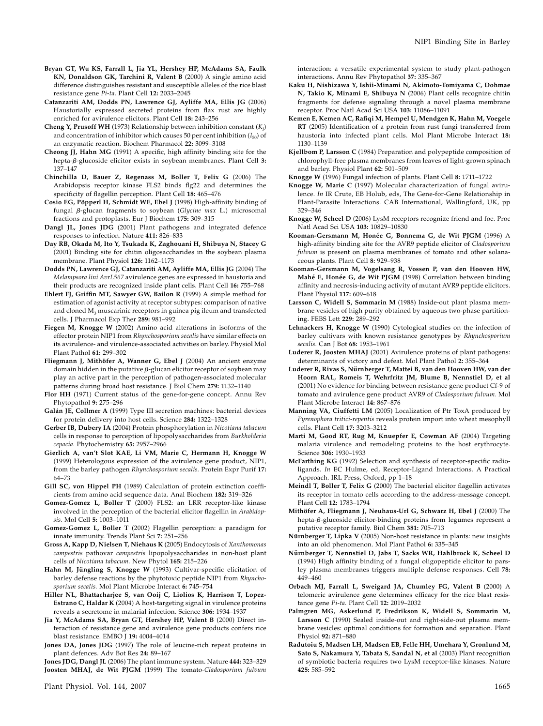- Bryan GT, Wu KS, Farrall L, Jia YL, Hershey HP, McAdams SA, Faulk KN, Donaldson GK, Tarchini R, Valent B (2000) A single amino acid difference distinguishes resistant and susceptible alleles of the rice blast resistance gene Pi-ta. Plant Cell 12: 2033–2045
- Catanzariti AM, Dodds PN, Lawrence GJ, Ayliffe MA, Ellis JG (2006) Haustorially expressed secreted proteins from flax rust are highly enriched for avirulence elicitors. Plant Cell 18: 243–256
- **Cheng Y, Prusoff WH** (1973) Relationship between inhibition constant  $(K<sub>1</sub>)$ and concentration of inhibitor which causes 50 per cent inhibition  $(I_{50})$  of an enzymatic reaction. Biochem Pharmacol 22: 3099–3108
- Cheong JJ, Hahn MG (1991) A specific, high affinity binding site for the hepta-b-glucoside elicitor exists in soybean membranes. Plant Cell 3: 137–147
- Chinchilla D, Bauer Z, Regenass M, Boller T, Felix G (2006) The Arabidopsis receptor kinase FLS2 binds flg22 and determines the specificity of flagellin perception. Plant Cell 18: 465–476
- Cosio EG, Pöpperl H, Schmidt WE, Ebel J (1998) High-affinity binding of fungal  $\beta$ -glucan fragments to soybean (Glycine max L.) microsomal fractions and protoplasts. Eur J Biochem 175: 309–315
- Dangl JL, Jones JDG (2001) Plant pathogens and integrated defence responses to infection. Nature 411: 826–833
- Day RB, Okada M, Ito Y, Tsukada K, Zaghouani H, Shibuya N, Stacey G (2001) Binding site for chitin oligosaccharides in the soybean plasma membrane. Plant Physiol 126: 1162–1173
- Dodds PN, Lawrence GJ, Catanzariti AM, Ayliffe MA, Ellis JG (2004) The Melampsora lini AvrL567 avirulence genes are expressed in haustoria and their products are recognized inside plant cells. Plant Cell 16: 755–768
- Ehlert FJ, Griffin MT, Sawyer GW, Bailon R (1999) A simple method for estimation of agonist activity at receptor subtypes: comparison of native and cloned  $M_3$  muscarinic receptors in guinea pig ileum and transfected cells. J Pharmacol Exp Ther 289: 981–992
- Fiegen M, Knogge W (2002) Amino acid alterations in isoforms of the effector protein NIP1 from Rhynchosporium secalis have similar effects on its avirulence- and virulence-associated activities on barley. Physiol Mol Plant Pathol 61: 299–302
- Fliegmann J, Mithöfer A, Wanner G, Ebel J (2004) An ancient enzyme domain hidden in the putative  $\beta$ -glucan elicitor receptor of soybean may play an active part in the perception of pathogen-associated molecular patterns during broad host resistance. J Biol Chem 279: 1132–1140
- Flor HH (1971) Current status of the gene-for-gene concept. Annu Rev Phytopathol 9: 275–296
- Galán JE, Collmer A (1999) Type III secretion machines: bacterial devices for protein delivery into host cells. Science 284: 1322–1328
- Gerber IB, Dubery IA (2004) Protein phosphorylation in Nicotiana tabacum cells in response to perception of lipopolysaccharides from Burkholderia cepacia. Phytochemistry 65: 2957–2966
- Gierlich A, van't Slot KAE, Li VM, Marie C, Hermann H, Knogge W (1999) Heterologous expression of the avirulence gene product, NIP1, from the barley pathogen Rhynchosporium secalis. Protein Expr Purif 17: 64–73
- Gill SC, von Hippel PH (1989) Calculation of protein extinction coefficients from amino acid sequence data. Anal Biochem 182: 319–326
- Gomez-Gomez L, Boller T (2000) FLS2: an LRR receptor-like kinase involved in the perception of the bacterial elicitor flagellin in Arabidopsis. Mol Cell 5: 1003–1011
- Gomez-Gomez L, Boller T (2002) Flagellin perception: a paradigm for innate immunity. Trends Plant Sci 7: 251–256
- Gross A, Kapp D, Nielsen T, Niehaus K (2005) Endocytosis of Xanthomonas campestris pathovar campestris lipopolysaccharides in non-host plant cells of Nicotiana tabacum. New Phytol 165: 215–226
- Hahn M, Jüngling S, Knogge W (1993) Cultivar-specific elicitation of barley defense reactions by the phytotoxic peptide NIP1 from Rhynchosporium secalis. Mol Plant Microbe Interact 6: 745–754
- Hiller NL, Bhattacharjee S, van Ooij C, Liolios K, Harrison T, Lopez-Estrano C, Haldar K (2004) A host-targeting signal in virulence proteins reveals a secretome in malarial infection. Science 306: 1934–1937
- Jia Y, McAdams SA, Bryan GT, Hershey HP, Valent B (2000) Direct interaction of resistance gene and avirulence gene products confers rice blast resistance. EMBO J 19: 4004–4014
- Jones DA, Jones JDG (1997) The role of leucine-rich repeat proteins in plant defences. Adv Bot Res 24: 89–167
- Jones JDG, Dangl JL (2006) The plant immune system. Nature 444: 323–329 Joosten MHAJ, de Wit PJGM (1999) The tomato-Cladosporium fulvum

interaction: a versatile experimental system to study plant-pathogen interactions. Annu Rev Phytopathol 37: 335–367

- Kaku H, Nishizawa Y, Ishii-Minami N, Akimoto-Tomiyama C, Dohmae N, Takio K, Minami E, Shibuya N (2006) Plant cells recognize chitin fragments for defense signaling through a novel plasma membrane receptor. Proc Natl Acad Sci USA 103: 11086–11091
- Kemen E, Kemen AC, Rafiqi M, Hempel U, Mendgen K, Hahn M, Voegele RT (2005) Identification of a protein from rust fungi transferred from haustoria into infected plant cells. Mol Plant Microbe Interact 18: 1130–1139
- Kjellbom P, Larsson C (1984) Preparation and polypeptide composition of chlorophyll-free plasma membranes from leaves of light-grown spinach and barley. Physiol Plant 62: 501–509

Knogge W (1996) Fungal infection of plants. Plant Cell 8: 1711–1722

- Knogge W, Marie C (1997) Molecular characterization of fungal avirulence. In IR Crute, EB Holub, eds, The Gene-for-Gene Relationship in Plant-Parasite Interactions. CAB International, Wallingford, UK, pp 329–346
- Knogge W, Scheel D (2006) LysM receptors recognize friend and foe. Proc Natl Acad Sci USA 103: 10829–10830
- Kooman-Gersmann M, Honée G, Bonnema G, de Wit PJGM (1996) A high-affinity binding site for the AVR9 peptide elicitor of Cladosporium fulvum is present on plasma membranes of tomato and other solanaceous plants. Plant Cell 8: 929–938
- Kooman-Gersmann M, Vogelsang R, Vossen P, van den Hooven HW, Mahé E, Honée G, de Wit PJGM (1998) Correlation between binding affinity and necrosis-inducing activity of mutant AVR9 peptide elicitors. Plant Physiol 117: 609–618
- Larsson C, Widell S, Sommarin M (1988) Inside-out plant plasma membrane vesicles of high purity obtained by aqueous two-phase partitioning. FEBS Lett 229: 289–292
- Lehnackers H, Knogge W (1990) Cytological studies on the infection of barley cultivars with known resistance genotypes by Rhynchosporium secalis. Can I Bot 68: 1953-1961
- Luderer R, Joosten MHAJ (2001) Avirulence proteins of plant pathogens: determinants of victory and defeat. Mol Plant Pathol 2: 355–364
- Luderer R, Rivas S, Nürnberger T, Mattei B, van den Hooven HW, van der Hoorn RAL, Romeis T, Wehrfritz JM, Blume B, Nennstiel D, et al (2001) No evidence for binding between resistance gene product Cf-9 of tomato and avirulence gene product AVR9 of Cladosporium fulvum. Mol Plant Microbe Interact 14: 867–876
- Manning VA, Ciuffetti LM (2005) Localization of Ptr ToxA produced by Pyrenophora tritici-repentis reveals protein import into wheat mesophyll cells. Plant Cell 17: 3203–3212
- Marti M, Good RT, Rug M, Knuepfer E, Cowman AF (2004) Targeting malaria virulence and remodeling proteins to the host erythrocyte. Science 306: 1930–1933
- McFarthing KG (1992) Selection and synthesis of receptor-specific radioligands. In EC Hulme, ed, Receptor-Ligand Interactions. A Practical Approach. IRL Press, Oxford, pp 1–18
- Meindl T, Boller T, Felix G (2000) The bacterial elicitor flagellin activates its receptor in tomato cells according to the address-message concept. Plant Cell 12: 1783–1794
- Mithöfer A, Fliegmann J, Neuhaus-Url G, Schwarz H, Ebel J (2000) The hepta- $\beta$ -glucoside elicitor-binding proteins from legumes represent a putative receptor family. Biol Chem 381: 705–713
- Nürnberger T, Lipka V (2005) Non-host resistance in plants: new insights into an old phenomenon. Mol Plant Pathol 6: 335–345
- Nürnberger T, Nennstiel D, Jabs T, Sacks WR, Hahlbrock K, Scheel D (1994) High affinity binding of a fungal oligopeptide elicitor to parsley plasma membranes triggers multiple defense responses. Cell 78: 449–460
- Orbach MJ, Farrall L, Sweigard JA, Chumley FG, Valent B (2000) A telomeric avirulence gene determines efficacy for the rice blast resistance gene Pi-ta. Plant Cell 12: 2019–2032
- Palmgren MG, Askerlund P, Fredrikson K, Widell S, Sommarin M, Larsson C (1990) Sealed inside-out and right-side-out plasma membrane vesicles: optimal conditions for formation and separation. Plant Physiol 92: 871–880
- Radutoiu S, Madsen LH, Madsen EB, Felle HH, Umehara Y, Gronlund M, Sato S, Nakamura Y, Tabata S, Sandal N, et al (2003) Plant recognition of symbiotic bacteria requires two LysM receptor-like kinases. Nature 425: 585–592